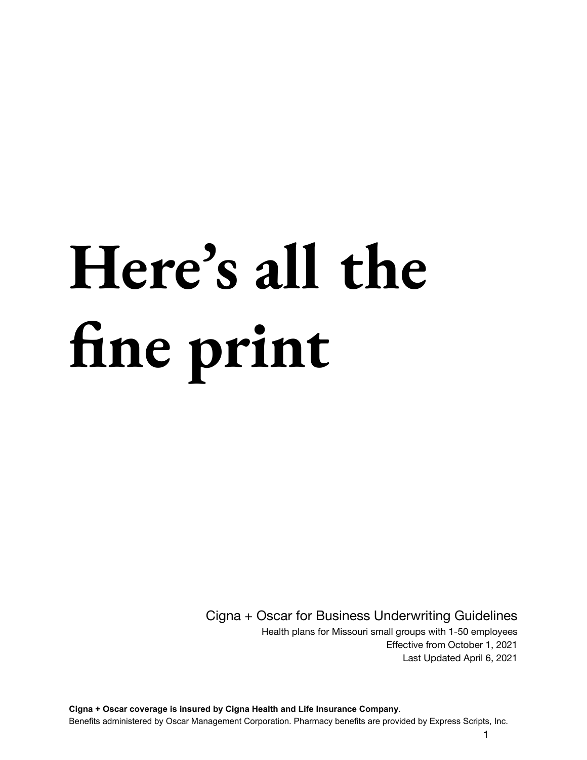# **Here's all the fine print**

Cigna + Oscar for Business Underwriting Guidelines

Health plans for Missouri small groups with 1-50 employees Effective from October 1, 2021 Last Updated April 6, 2021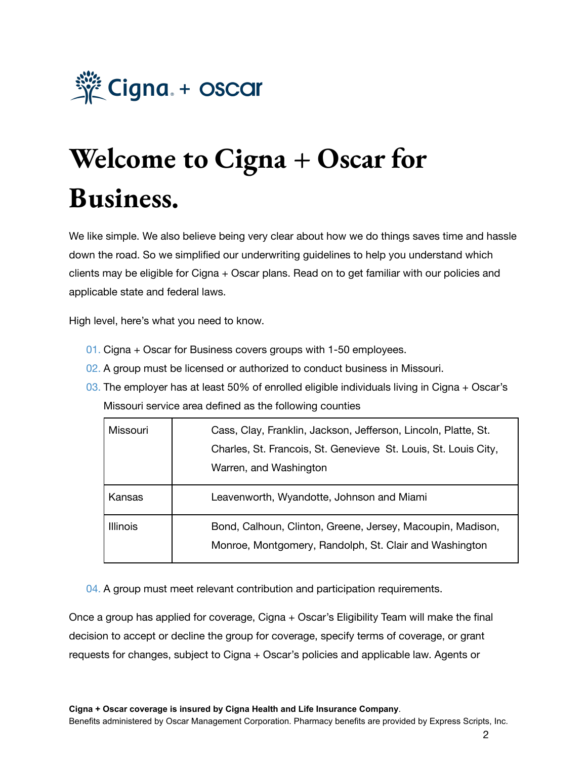

# **Welcome to Cigna + Oscar for Business.**

We like simple. We also believe being very clear about how we do things saves time and hassle down the road. So we simplified our underwriting guidelines to help you understand which clients may be eligible for Cigna + Oscar plans. Read on to get familiar with our policies and applicable state and federal laws.

High level, here's what you need to know.

- 01. Cigna + Oscar for Business covers groups with 1-50 employees.
- 02. A group must be licensed or authorized to conduct business in Missouri.
- 03. The employer has at least 50% of enrolled eligible individuals living in Cigna  $+$  Oscar's Missouri service area defined as the following counties

| Missouri        | Cass, Clay, Franklin, Jackson, Jefferson, Lincoln, Platte, St.<br>Charles, St. Francois, St. Genevieve St. Louis, St. Louis City,<br>Warren, and Washington |  |
|-----------------|-------------------------------------------------------------------------------------------------------------------------------------------------------------|--|
| Kansas          | Leavenworth, Wyandotte, Johnson and Miami                                                                                                                   |  |
| <b>Illinois</b> | Bond, Calhoun, Clinton, Greene, Jersey, Macoupin, Madison,<br>Monroe, Montgomery, Randolph, St. Clair and Washington                                        |  |

04. A group must meet relevant contribution and participation requirements.

Once a group has applied for coverage, Cigna + Oscar's Eligibility Team will make the final decision to accept or decline the group for coverage, specify terms of coverage, or grant requests for changes, subject to Cigna + Oscar's policies and applicable law. Agents or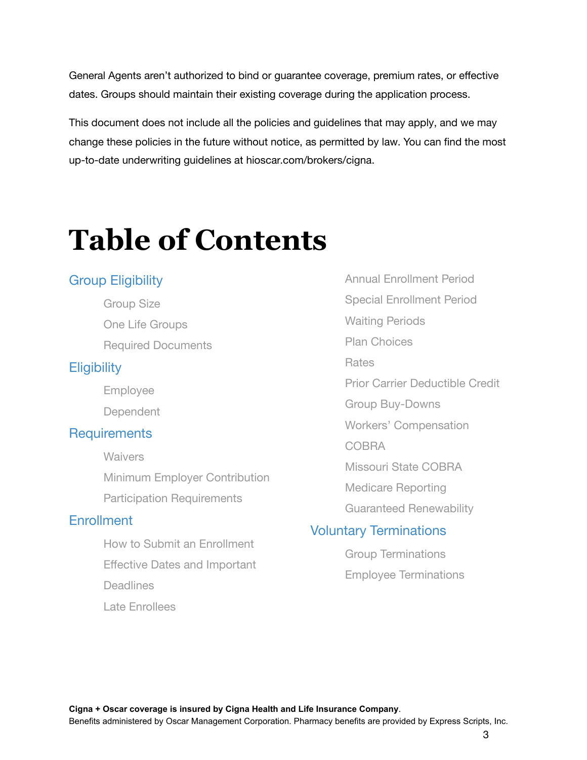General Agents aren't authorized to bind or guarantee coverage, premium rates, or effective dates. Groups should maintain their existing coverage during the application process.

This document does not include all the policies and guidelines that may apply, and we may change these policies in the future without notice, as permitted by law. You can find the most up-to-date underwriting guidelines at hioscar.com/brokers/cigna.

# **Table of Contents**

#### Group Eligibility

Group Size One Life Groups Required Documents

#### **Eligibility**

Employee

**Dependent** 

#### **Requirements**

- **Waivers**
- Minimum Employer Contribution
- Participation Requirements

#### **Fnrollment**

How to Submit an Enrollment Effective Dates and Important Deadlines Late Enrollees

Annual Enrollment Period Special Enrollment Period Waiting Periods Plan Choices Rates Prior Carrier Deductible Credit Group Buy-Downs Workers' Compensation COBRA Missouri State COBRA Medicare Reporting Guaranteed Renewability Voluntary Terminations

> Group Terminations Employee Terminations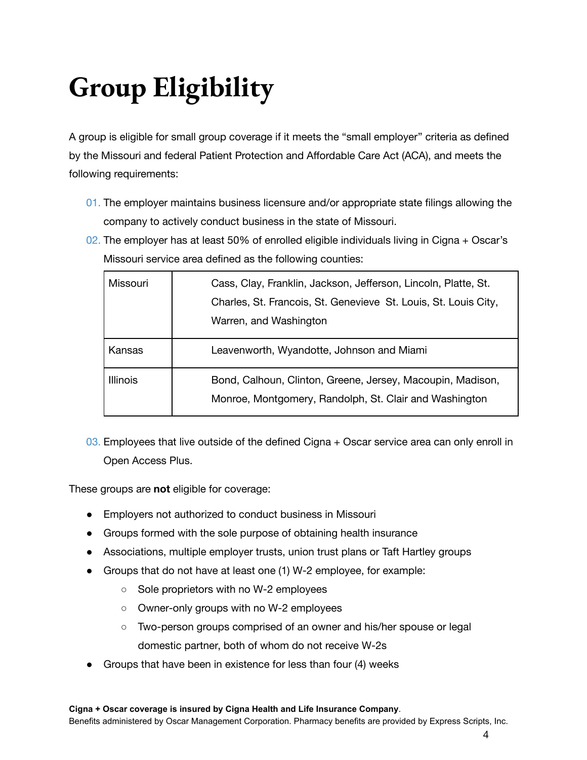# **Group Eligibility**

A group is eligible for small group coverage if it meets the "small employer" criteria as defined by the Missouri and federal Patient Protection and Affordable Care Act (ACA), and meets the following requirements:

- 01. The employer maintains business licensure and/or appropriate state filings allowing the company to actively conduct business in the state of Missouri.
- 02. The employer has at least 50% of enrolled eligible individuals living in Cigna  $+$  Oscar's Missouri service area defined as the following counties:

| Missouri        | Cass, Clay, Franklin, Jackson, Jefferson, Lincoln, Platte, St.<br>Charles, St. Francois, St. Genevieve St. Louis, St. Louis City,<br>Warren, and Washington |  |
|-----------------|-------------------------------------------------------------------------------------------------------------------------------------------------------------|--|
| Kansas          | Leavenworth, Wyandotte, Johnson and Miami                                                                                                                   |  |
| <b>Illinois</b> | Bond, Calhoun, Clinton, Greene, Jersey, Macoupin, Madison,<br>Monroe, Montgomery, Randolph, St. Clair and Washington                                        |  |

03. Employees that live outside of the defined Cigna + Oscar service area can only enroll in Open Access Plus.

These groups are **not** eligible for coverage:

- Employers not authorized to conduct business in Missouri
- Groups formed with the sole purpose of obtaining health insurance
- Associations, multiple employer trusts, union trust plans or Taft Hartley groups
- Groups that do not have at least one (1) W-2 employee, for example:
	- Sole proprietors with no W-2 employees
	- Owner-only groups with no W-2 employees
	- Two-person groups comprised of an owner and his/her spouse or legal domestic partner, both of whom do not receive W-2s
- Groups that have been in existence for less than four (4) weeks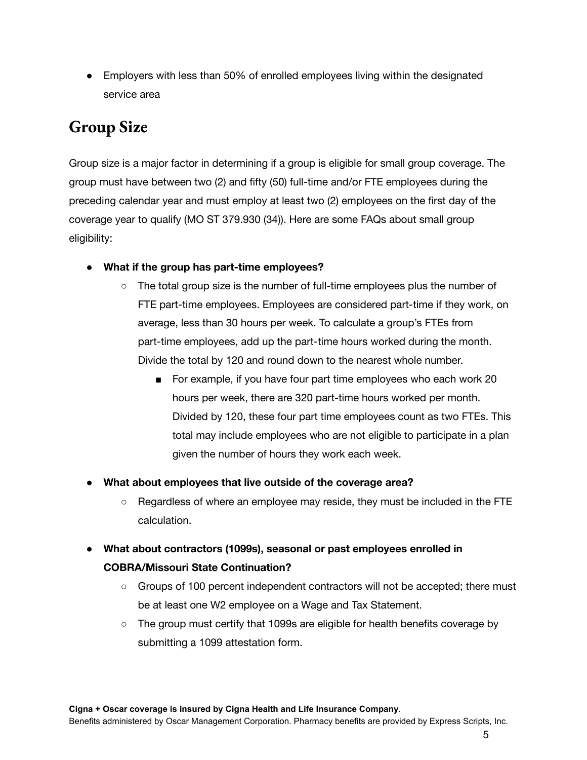● Employers with less than 50% of enrolled employees living within the designated service area

#### **Group Size**

Group size is a major factor in determining if a group is eligible for small group coverage. The group must have between two (2) and fifty (50) full-time and/or FTE employees during the preceding calendar year and must employ at least two (2) employees on the first day of the coverage year to qualify (MO ST 379.930 (34)). Here are some FAQs about small group eligibility:

- **● What if the group has part-time employees?**
	- The total group size is the number of full-time employees plus the number of FTE part-time employees. Employees are considered part-time if they work, on average, less than 30 hours per week. To calculate a group's FTEs from part-time employees, add up the part-time hours worked during the month. Divide the total by 120 and round down to the nearest whole number.
		- For example, if you have four part time employees who each work 20 hours per week, there are 320 part-time hours worked per month. Divided by 120, these four part time employees count as two FTEs. This total may include employees who are not eligible to participate in a plan given the number of hours they work each week.
- **● What about employees that live outside of the coverage area?**
	- **○** Regardless of where an employee may reside, they must be included in the FTE calculation.
- **● What about contractors (1099s), seasonal or past employees enrolled in COBRA/Missouri State Continuation?**
	- Groups of 100 percent independent contractors will not be accepted; there must be at least one W2 employee on a Wage and Tax Statement.
	- The group must certify that 1099s are eligible for health benefits coverage by submitting a 1099 attestation form.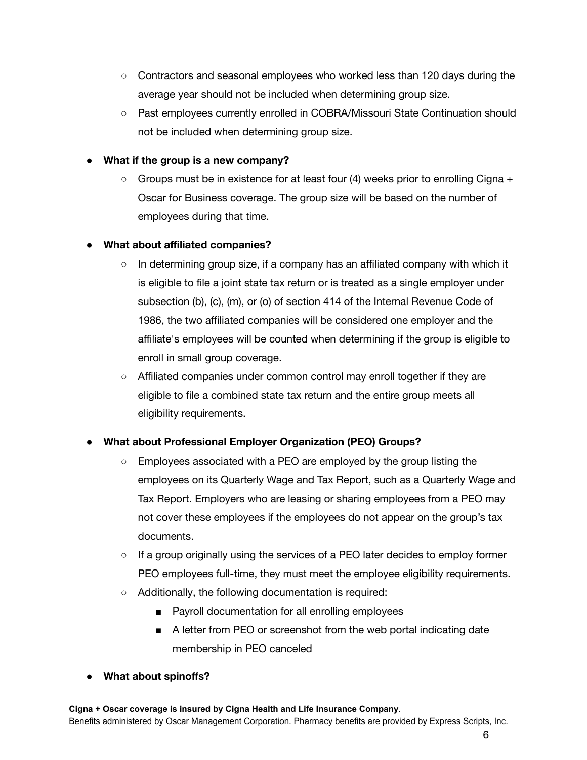- Contractors and seasonal employees who worked less than 120 days during the average year should not be included when determining group size.
- Past employees currently enrolled in COBRA/Missouri State Continuation should not be included when determining group size.

#### **● What if the group is a new company?**

○ Groups must be in existence for at least four (4) weeks prior to enrolling Cigna + Oscar for Business coverage. The group size will be based on the number of employees during that time.

#### ● **What about affiliated companies?**

- In determining group size, if a company has an affiliated company with which it is eligible to file a joint state tax return or is treated as a single employer under subsection (b), (c), (m), or (o) of section 414 of the Internal Revenue Code of 1986, the two affiliated companies will be considered one employer and the affiliate's employees will be counted when determining if the group is eligible to enroll in small group coverage.
- Affiliated companies under common control may enroll together if they are eligible to file a combined state tax return and the entire group meets all eligibility requirements.

#### **● What about Professional Employer Organization (PEO) Groups?**

- **○** Employees associated with a PEO are employed by the group listing the employees on its Quarterly Wage and Tax Report, such as a Quarterly Wage and Tax Report. Employers who are leasing or sharing employees from a PEO may not cover these employees if the employees do not appear on the group's tax documents.
- **○** If a group originally using the services of a PEO later decides to employ former PEO employees full-time, they must meet the employee eligibility requirements.
- **○** Additionally, the following documentation is required:
	- Payroll documentation for all enrolling employees
	- A letter from PEO or screenshot from the web portal indicating date membership in PEO canceled
- **● What about spinoffs?**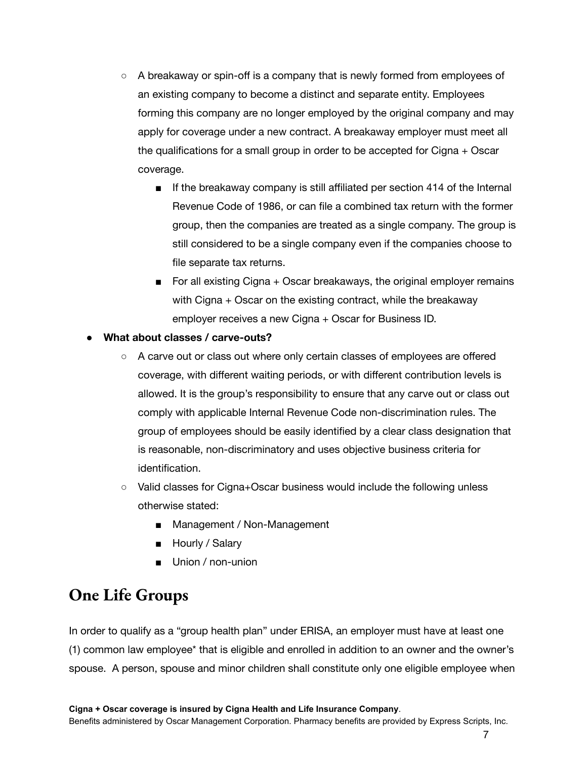- **○** A breakaway or spin-off is a company that is newly formed from employees of an existing company to become a distinct and separate entity. Employees forming this company are no longer employed by the original company and may apply for coverage under a new contract. A breakaway employer must meet all the qualifications for a small group in order to be accepted for Cigna + Oscar coverage.
	- **■** If the breakaway company is still affiliated per section 414 of the Internal Revenue Code of 1986, or can file a combined tax return with the former group, then the companies are treated as a single company. The group is still considered to be a single company even if the companies choose to file separate tax returns.
	- For all existing Cigna + Oscar breakaways, the original employer remains with Cigna + Oscar on the existing contract, while the breakaway employer receives a new Cigna + Oscar for Business ID.

#### **● What about classes / carve-outs?**

- A carve out or class out where only certain classes of employees are offered coverage, with different waiting periods, or with different contribution levels is allowed. It is the group's responsibility to ensure that any carve out or class out comply with applicable Internal Revenue Code non-discrimination rules. The group of employees should be easily identified by a clear class designation that is reasonable, non-discriminatory and uses objective business criteria for identification.
- Valid classes for Cigna+Oscar business would include the following unless otherwise stated:
	- Management / Non-Management
	- Hourly / Salary
	- Union / non-union

#### **One Life Groups**

In order to qualify as a "group health plan" under ERISA, an employer must have at least one (1) common law employee\* that is eligible and enrolled in addition to an owner and the owner's spouse. A person, spouse and minor children shall constitute only one eligible employee when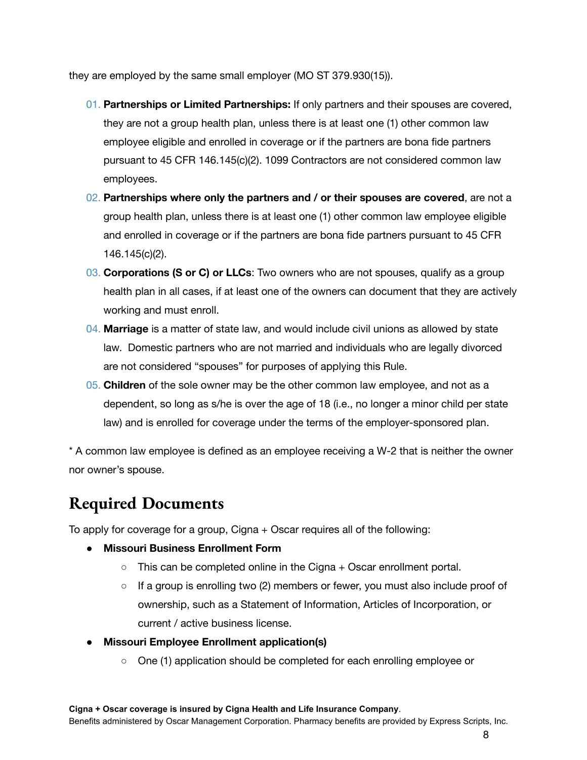they are employed by the same small employer (MO ST 379.930(15)).

- 01. **Partnerships or Limited Partnerships:** If only partners and their spouses are covered, they are not a group health plan, unless there is at least one (1) other common law employee eligible and enrolled in coverage or if the partners are bona fide partners pursuant to 45 CFR 146.145(c)(2). 1099 Contractors are not considered common law employees.
- 02. **Partnerships where only the partners and / or their spouses are covered**, are not a group health plan, unless there is at least one (1) other common law employee eligible and enrolled in coverage or if the partners are bona fide partners pursuant to 45 CFR 146.145(c)(2).
- 03. **Corporations (S or C) or LLCs**: Two owners who are not spouses, qualify as a group health plan in all cases, if at least one of the owners can document that they are actively working and must enroll.
- 04. **Marriage** is a matter of state law, and would include civil unions as allowed by state law. Domestic partners who are not married and individuals who are legally divorced are not considered "spouses" for purposes of applying this Rule.
- 05. **Children** of the sole owner may be the other common law employee, and not as a dependent, so long as s/he is over the age of 18 (i.e., no longer a minor child per state law) and is enrolled for coverage under the terms of the employer-sponsored plan.

\* A common law employee is defined as an employee receiving a W-2 that is neither the owner nor owner's spouse.

## **Required Documents**

To apply for coverage for a group, Cigna + Oscar requires all of the following:

- **● Missouri Business Enrollment Form**
	- $\circ$  This can be completed online in the Cigna  $+$  Oscar enrollment portal.
	- If a group is enrolling two (2) members or fewer, you must also include proof of ownership, such as a Statement of Information, Articles of Incorporation, or current / active business license.
- **● Missouri Employee Enrollment application(s)**
	- One (1) application should be completed for each enrolling employee or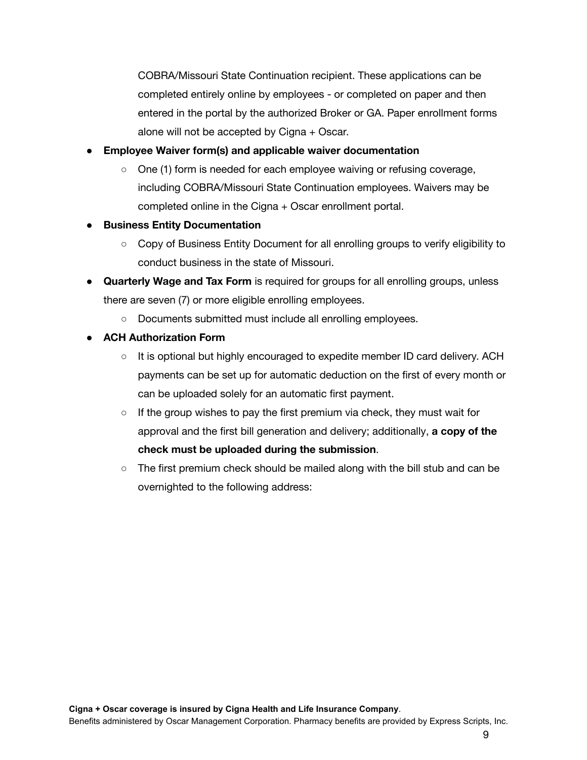COBRA/Missouri State Continuation recipient. These applications can be completed entirely online by employees - or completed on paper and then entered in the portal by the authorized Broker or GA. Paper enrollment forms alone will not be accepted by Cigna + Oscar.

#### ● **Employee Waiver form(s) and applicable waiver documentation**

- One (1) form is needed for each employee waiving or refusing coverage, including COBRA/Missouri State Continuation employees. Waivers may be completed online in the Cigna + Oscar enrollment portal.
- **Business Entity Documentation**
	- Copy of Business Entity Document for all enrolling groups to verify eligibility to conduct business in the state of Missouri.
- **Quarterly Wage and Tax Form** is required for groups for all enrolling groups, unless there are seven (7) or more eligible enrolling employees.
	- Documents submitted must include all enrolling employees.
- **● ACH Authorization Form**
	- $\circ$  It is optional but highly encouraged to expedite member ID card delivery. ACH payments can be set up for automatic deduction on the first of every month or can be uploaded solely for an automatic first payment.
	- $\circ$  If the group wishes to pay the first premium via check, they must wait for approval and the first bill generation and delivery; additionally, **a copy of the check must be uploaded during the submission**.
	- $\circ$  The first premium check should be mailed along with the bill stub and can be overnighted to the following address: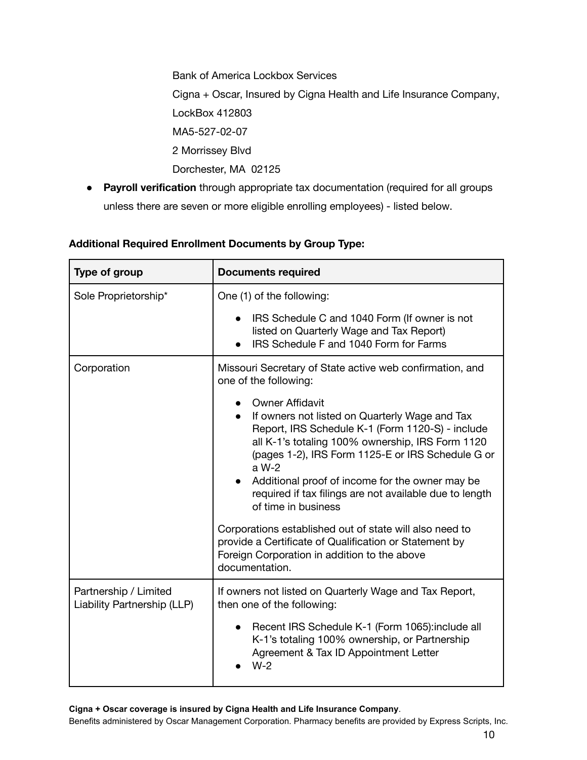Bank of America Lockbox Services Cigna + Oscar, Insured by Cigna Health and Life Insurance Company, LockBox 412803 MA5-527-02-07 2 Morrissey Blvd Dorchester, MA 02125

● **Payroll verification** through appropriate tax documentation (required for all groups unless there are seven or more eligible enrolling employees) - listed below.

| Type of group                                        | <b>Documents required</b>                                                                                                                                                                                                                                                                                                                                                                                                                                                                                                                                                  |
|------------------------------------------------------|----------------------------------------------------------------------------------------------------------------------------------------------------------------------------------------------------------------------------------------------------------------------------------------------------------------------------------------------------------------------------------------------------------------------------------------------------------------------------------------------------------------------------------------------------------------------------|
| Sole Proprietorship*                                 | One (1) of the following:                                                                                                                                                                                                                                                                                                                                                                                                                                                                                                                                                  |
|                                                      | IRS Schedule C and 1040 Form (If owner is not<br>listed on Quarterly Wage and Tax Report)<br>IRS Schedule F and 1040 Form for Farms                                                                                                                                                                                                                                                                                                                                                                                                                                        |
| Corporation                                          | Missouri Secretary of State active web confirmation, and<br>one of the following:                                                                                                                                                                                                                                                                                                                                                                                                                                                                                          |
|                                                      | <b>Owner Affidavit</b><br>If owners not listed on Quarterly Wage and Tax<br>Report, IRS Schedule K-1 (Form 1120-S) - include<br>all K-1's totaling 100% ownership, IRS Form 1120<br>(pages 1-2), IRS Form 1125-E or IRS Schedule G or<br>a W-2<br>Additional proof of income for the owner may be<br>required if tax filings are not available due to length<br>of time in business<br>Corporations established out of state will also need to<br>provide a Certificate of Qualification or Statement by<br>Foreign Corporation in addition to the above<br>documentation. |
| Partnership / Limited<br>Liability Partnership (LLP) | If owners not listed on Quarterly Wage and Tax Report,<br>then one of the following:                                                                                                                                                                                                                                                                                                                                                                                                                                                                                       |
|                                                      | Recent IRS Schedule K-1 (Form 1065): include all<br>K-1's totaling 100% ownership, or Partnership<br>Agreement & Tax ID Appointment Letter<br>$W-2$                                                                                                                                                                                                                                                                                                                                                                                                                        |

#### **Additional Required Enrollment Documents by Group Type:**

**Cigna + Oscar coverage is insured by Cigna Health and Life Insurance Company**.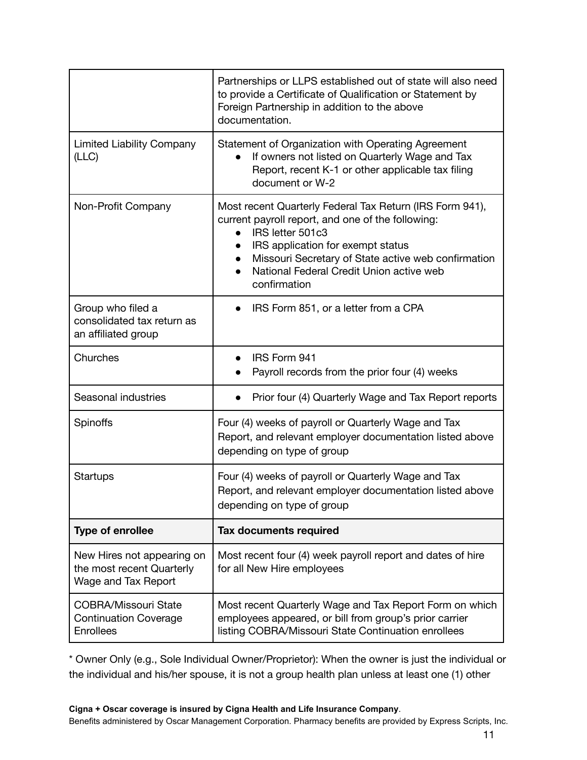|                                                                                 | Partnerships or LLPS established out of state will also need<br>to provide a Certificate of Qualification or Statement by<br>Foreign Partnership in addition to the above<br>documentation.                                                                                                                                      |
|---------------------------------------------------------------------------------|----------------------------------------------------------------------------------------------------------------------------------------------------------------------------------------------------------------------------------------------------------------------------------------------------------------------------------|
| <b>Limited Liability Company</b><br>(LLC)                                       | Statement of Organization with Operating Agreement<br>If owners not listed on Quarterly Wage and Tax<br>Report, recent K-1 or other applicable tax filing<br>document or W-2                                                                                                                                                     |
| Non-Profit Company                                                              | Most recent Quarterly Federal Tax Return (IRS Form 941),<br>current payroll report, and one of the following:<br>IRS letter 501c3<br>$\bullet$<br>IRS application for exempt status<br>$\bullet$<br>Missouri Secretary of State active web confirmation<br>$\bullet$<br>National Federal Credit Union active web<br>confirmation |
| Group who filed a<br>consolidated tax return as<br>an affiliated group          | IRS Form 851, or a letter from a CPA                                                                                                                                                                                                                                                                                             |
| Churches                                                                        | IRS Form 941<br>Payroll records from the prior four (4) weeks                                                                                                                                                                                                                                                                    |
| Seasonal industries                                                             | Prior four (4) Quarterly Wage and Tax Report reports                                                                                                                                                                                                                                                                             |
| Spinoffs                                                                        | Four (4) weeks of payroll or Quarterly Wage and Tax<br>Report, and relevant employer documentation listed above<br>depending on type of group                                                                                                                                                                                    |
| Startups                                                                        | Four (4) weeks of payroll or Quarterly Wage and Tax<br>Report, and relevant employer documentation listed above<br>depending on type of group                                                                                                                                                                                    |
| <b>Type of enrollee</b>                                                         | <b>Tax documents required</b>                                                                                                                                                                                                                                                                                                    |
| New Hires not appearing on<br>the most recent Quarterly<br>Wage and Tax Report  | Most recent four (4) week payroll report and dates of hire<br>for all New Hire employees                                                                                                                                                                                                                                         |
| <b>COBRA/Missouri State</b><br><b>Continuation Coverage</b><br><b>Enrollees</b> | Most recent Quarterly Wage and Tax Report Form on which<br>employees appeared, or bill from group's prior carrier<br>listing COBRA/Missouri State Continuation enrollees                                                                                                                                                         |

\* Owner Only (e.g., Sole Individual Owner/Proprietor): When the owner is just the individual or the individual and his/her spouse, it is not a group health plan unless at least one (1) other

#### **Cigna + Oscar coverage is insured by Cigna Health and Life Insurance Company**.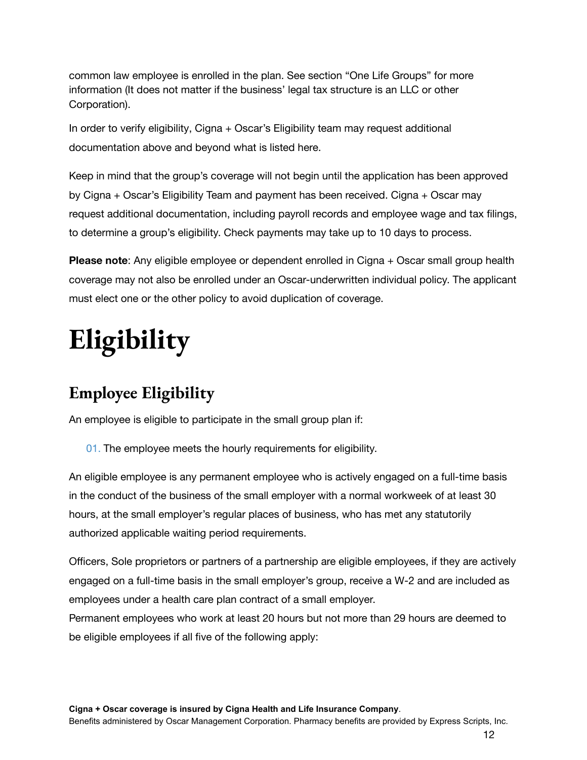common law employee is enrolled in the plan. See section "One Life Groups" for more information (It does not matter if the business' legal tax structure is an LLC or other Corporation).

In order to verify eligibility, Cigna + Oscar's Eligibility team may request additional documentation above and beyond what is listed here.

Keep in mind that the group's coverage will not begin until the application has been approved by Cigna + Oscar's Eligibility Team and payment has been received. Cigna + Oscar may request additional documentation, including payroll records and employee wage and tax filings, to determine a group's eligibility. Check payments may take up to 10 days to process.

**Please note**: Any eligible employee or dependent enrolled in Cigna + Oscar small group health coverage may not also be enrolled under an Oscar-underwritten individual policy. The applicant must elect one or the other policy to avoid duplication of coverage.

# **Eligibility**

# **Employee Eligibility**

An employee is eligible to participate in the small group plan if:

01. The employee meets the hourly requirements for eligibility.

An eligible employee is any permanent employee who is actively engaged on a full-time basis in the conduct of the business of the small employer with a normal workweek of at least 30 hours, at the small employer's regular places of business, who has met any statutorily authorized applicable waiting period requirements.

Officers, Sole proprietors or partners of a partnership are eligible employees, if they are actively engaged on a full-time basis in the small employer's group, receive a W-2 and are included as employees under a health care plan contract of a small employer.

Permanent employees who work at least 20 hours but not more than 29 hours are deemed to be eligible employees if all five of the following apply: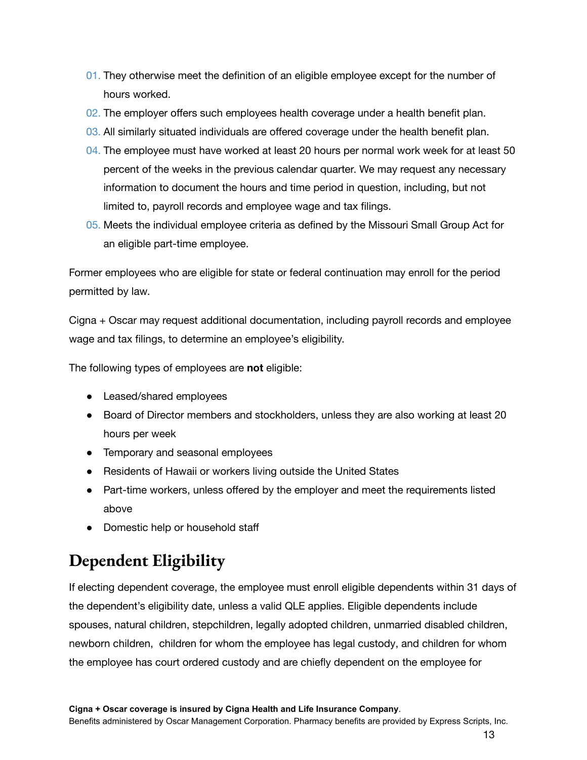- 01. They otherwise meet the definition of an eligible employee except for the number of hours worked.
- 02. The employer offers such employees health coverage under a health benefit plan.
- 03. All similarly situated individuals are offered coverage under the health benefit plan.
- 04. The employee must have worked at least 20 hours per normal work week for at least 50 percent of the weeks in the previous calendar quarter. We may request any necessary information to document the hours and time period in question, including, but not limited to, payroll records and employee wage and tax filings.
- 05. Meets the individual employee criteria as defined by the Missouri Small Group Act for an eligible part-time employee.

Former employees who are eligible for state or federal continuation may enroll for the period permitted by law.

Cigna + Oscar may request additional documentation, including payroll records and employee wage and tax filings, to determine an employee's eligibility.

The following types of employees are **not** eligible:

- Leased/shared employees
- Board of Director members and stockholders, unless they are also working at least 20 hours per week
- Temporary and seasonal employees
- Residents of Hawaii or workers living outside the United States
- Part-time workers, unless offered by the employer and meet the requirements listed above
- Domestic help or household staff

# **Dependent Eligibility**

If electing dependent coverage, the employee must enroll eligible dependents within 31 days of the dependent's eligibility date, unless a valid QLE applies. Eligible dependents include spouses, natural children, stepchildren, legally adopted children, unmarried disabled children, newborn children, children for whom the employee has legal custody, and children for whom the employee has court ordered custody and are chiefly dependent on the employee for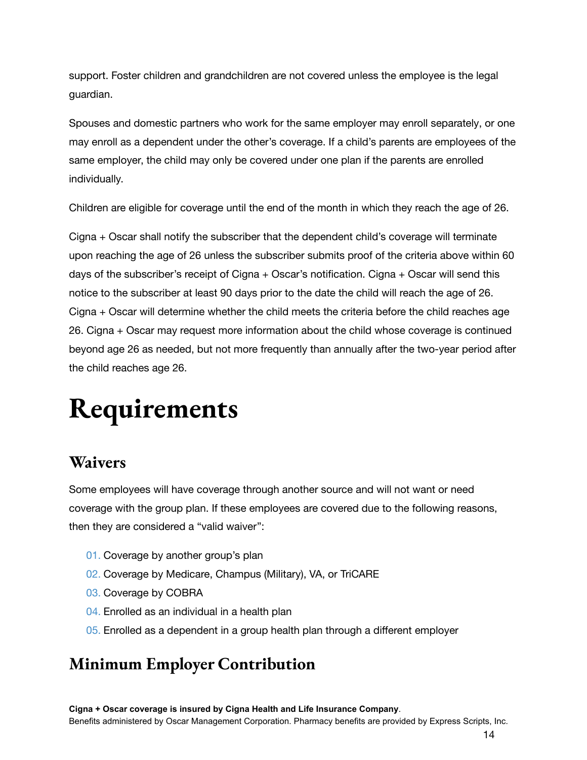support. Foster children and grandchildren are not covered unless the employee is the legal guardian.

Spouses and domestic partners who work for the same employer may enroll separately, or one may enroll as a dependent under the other's coverage. If a child's parents are employees of the same employer, the child may only be covered under one plan if the parents are enrolled individually.

Children are eligible for coverage until the end of the month in which they reach the age of 26.

Cigna + Oscar shall notify the subscriber that the dependent child's coverage will terminate upon reaching the age of 26 unless the subscriber submits proof of the criteria above within 60 days of the subscriber's receipt of Cigna + Oscar's notification. Cigna + Oscar will send this notice to the subscriber at least 90 days prior to the date the child will reach the age of 26. Cigna + Oscar will determine whether the child meets the criteria before the child reaches age 26. Cigna + Oscar may request more information about the child whose coverage is continued beyond age 26 as needed, but not more frequently than annually after the two-year period after the child reaches age 26.

# **Requirements**

#### **Waivers**

Some employees will have coverage through another source and will not want or need coverage with the group plan. If these employees are covered due to the following reasons, then they are considered a "valid waiver":

- 01. Coverage by another group's plan
- 02. Coverage by Medicare, Champus (Military), VA, or TriCARE
- 03. Coverage by COBRA
- 04. Enrolled as an individual in a health plan
- 05. Enrolled as a dependent in a group health plan through a different employer

#### **Minimum Employer Contribution**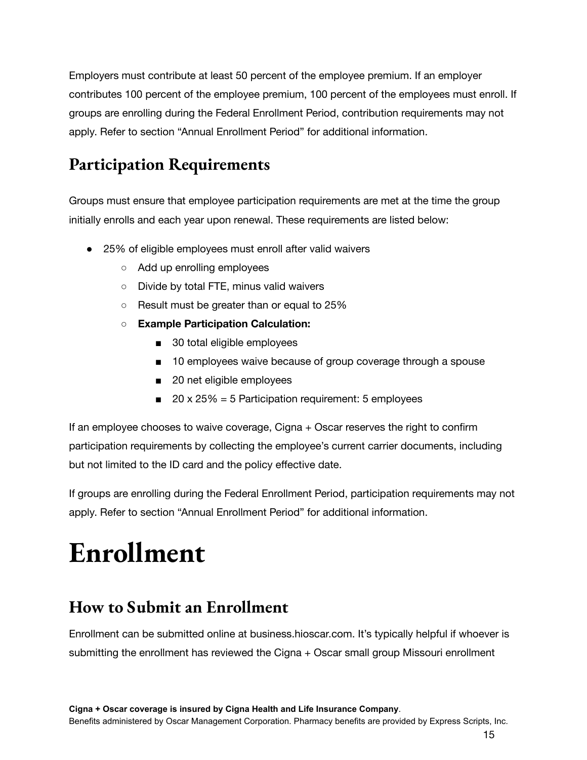Employers must contribute at least 50 percent of the employee premium. If an employer contributes 100 percent of the employee premium, 100 percent of the employees must enroll. If groups are enrolling during the Federal Enrollment Period, contribution requirements may not apply. Refer to section "Annual Enrollment Period" for additional information.

## **Participation Requirements**

Groups must ensure that employee participation requirements are met at the time the group initially enrolls and each year upon renewal. These requirements are listed below:

- 25% of eligible employees must enroll after valid waivers
	- Add up enrolling employees
	- Divide by total FTE, minus valid waivers
	- Result must be greater than or equal to 25%
	- **○ Example Participation Calculation:**
		- 30 total eligible employees
		- 10 employees waive because of group coverage through a spouse
		- 20 net eligible employees
		- $\blacksquare$  20 x 25% = 5 Participation requirement: 5 employees

If an employee chooses to waive coverage, Cigna + Oscar reserves the right to confirm participation requirements by collecting the employee's current carrier documents, including but not limited to the ID card and the policy effective date.

If groups are enrolling during the Federal Enrollment Period, participation requirements may not apply. Refer to section "Annual Enrollment Period" for additional information.

# **Enrollment**

#### **How to Submit an Enrollment**

Enrollment can be submitted online at business.hioscar.com. It's typically helpful if whoever is submitting the enrollment has reviewed the Cigna + Oscar small group Missouri enrollment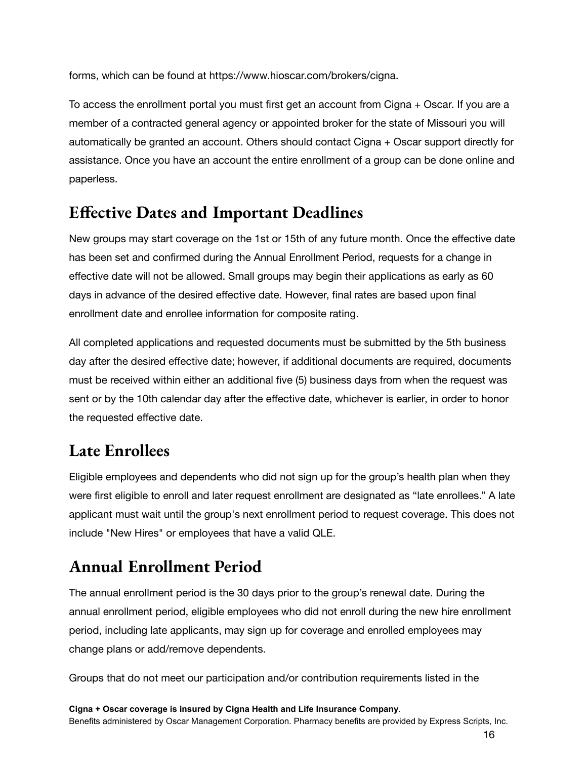forms, which can be found at https://www.hioscar.com/brokers/cigna.

To access the enrollment portal you must first get an account from Cigna + Oscar. If you are a member of a contracted general agency or appointed broker for the state of Missouri you will automatically be granted an account. Others should contact Cigna + Oscar support directly for assistance. Once you have an account the entire enrollment of a group can be done online and paperless.

#### **Effective Dates and Important Deadlines**

New groups may start coverage on the 1st or 15th of any future month. Once the effective date has been set and confirmed during the Annual Enrollment Period, requests for a change in effective date will not be allowed. Small groups may begin their applications as early as 60 days in advance of the desired effective date. However, final rates are based upon final enrollment date and enrollee information for composite rating.

All completed applications and requested documents must be submitted by the 5th business day after the desired effective date; however, if additional documents are required, documents must be received within either an additional five (5) business days from when the request was sent or by the 10th calendar day after the effective date, whichever is earlier, in order to honor the requested effective date.

#### **Late Enrollees**

Eligible employees and dependents who did not sign up for the group's health plan when they were first eligible to enroll and later request enrollment are designated as "late enrollees." A late applicant must wait until the group's next enrollment period to request coverage. This does not include "New Hires" or employees that have a valid QLE.

## **Annual Enrollment Period**

The annual enrollment period is the 30 days prior to the group's renewal date. During the annual enrollment period, eligible employees who did not enroll during the new hire enrollment period, including late applicants, may sign up for coverage and enrolled employees may change plans or add/remove dependents.

Groups that do not meet our participation and/or contribution requirements listed in the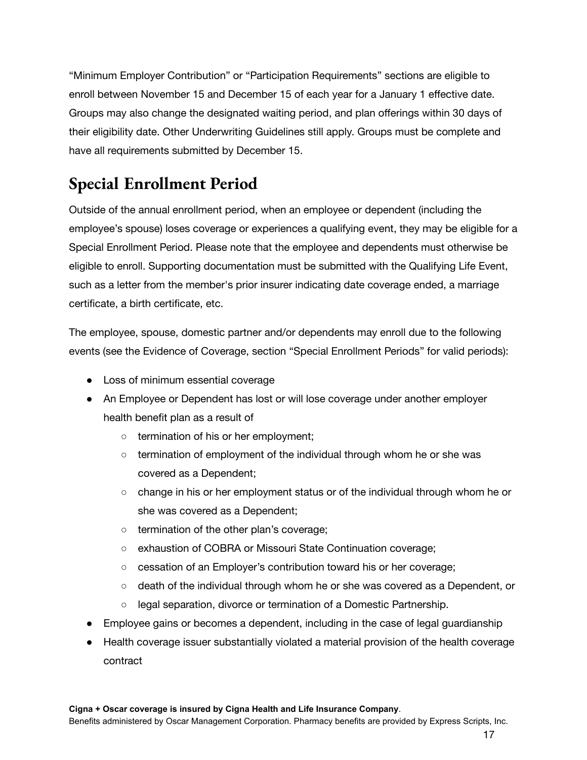"Minimum Employer Contribution" or "Participation Requirements" sections are eligible to enroll between November 15 and December 15 of each year for a January 1 effective date. Groups may also change the designated waiting period, and plan offerings within 30 days of their eligibility date. Other Underwriting Guidelines still apply. Groups must be complete and have all requirements submitted by December 15.

### **Special Enrollment Period**

Outside of the annual enrollment period, when an employee or dependent (including the employee's spouse) loses coverage or experiences a qualifying event, they may be eligible for a Special Enrollment Period. Please note that the employee and dependents must otherwise be eligible to enroll. Supporting documentation must be submitted with the Qualifying Life Event, such as a letter from the member's prior insurer indicating date coverage ended, a marriage certificate, a birth certificate, etc.

The employee, spouse, domestic partner and/or dependents may enroll due to the following events (see the Evidence of Coverage, section "Special Enrollment Periods" for valid periods):

- Loss of minimum essential coverage
- An Employee or Dependent has lost or will lose coverage under another employer health benefit plan as a result of
	- termination of his or her employment;
	- $\circ$  termination of employment of the individual through whom he or she was covered as a Dependent;
	- change in his or her employment status or of the individual through whom he or she was covered as a Dependent;
	- termination of the other plan's coverage;
	- exhaustion of COBRA or Missouri State Continuation coverage;
	- cessation of an Employer's contribution toward his or her coverage;
	- death of the individual through whom he or she was covered as a Dependent, or
	- legal separation, divorce or termination of a Domestic Partnership.
- Employee gains or becomes a dependent, including in the case of legal guardianship
- Health coverage issuer substantially violated a material provision of the health coverage contract

#### **Cigna + Oscar coverage is insured by Cigna Health and Life Insurance Company**.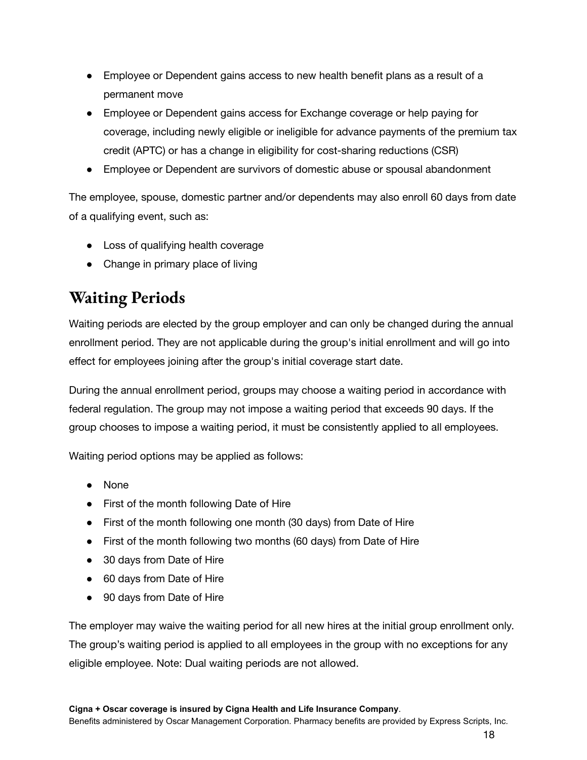- Employee or Dependent gains access to new health benefit plans as a result of a permanent move
- Employee or Dependent gains access for Exchange coverage or help paying for coverage, including newly eligible or ineligible for advance payments of the premium tax credit (APTC) or has a change in eligibility for cost-sharing reductions (CSR)
- Employee or Dependent are survivors of domestic abuse or spousal abandonment

The employee, spouse, domestic partner and/or dependents may also enroll 60 days from date of a qualifying event, such as:

- Loss of qualifying health coverage
- Change in primary place of living

#### **Waiting Periods**

Waiting periods are elected by the group employer and can only be changed during the annual enrollment period. They are not applicable during the group's initial enrollment and will go into effect for employees joining after the group's initial coverage start date.

During the annual enrollment period, groups may choose a waiting period in accordance with federal regulation. The group may not impose a waiting period that exceeds 90 days. If the group chooses to impose a waiting period, it must be consistently applied to all employees.

Waiting period options may be applied as follows:

- None
- First of the month following Date of Hire
- First of the month following one month (30 days) from Date of Hire
- First of the month following two months (60 days) from Date of Hire
- 30 days from Date of Hire
- 60 days from Date of Hire
- 90 days from Date of Hire

The employer may waive the waiting period for all new hires at the initial group enrollment only. The group's waiting period is applied to all employees in the group with no exceptions for any eligible employee. Note: Dual waiting periods are not allowed.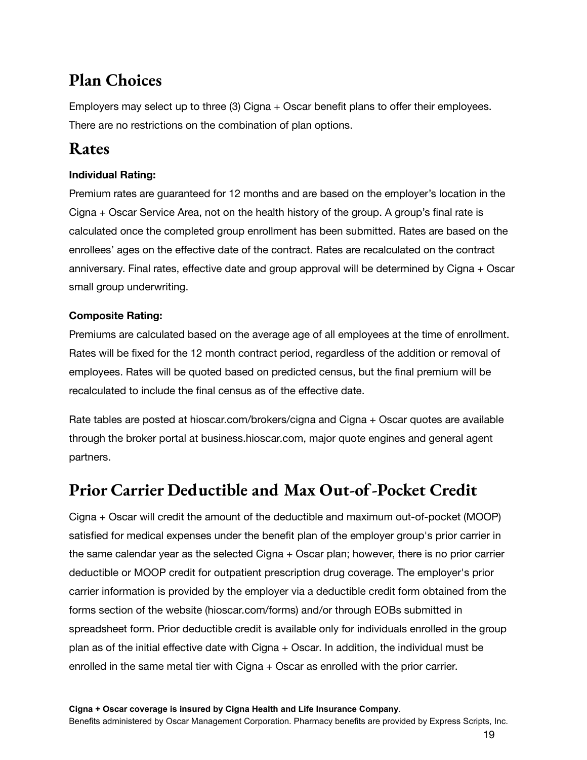#### **Plan Choices**

Employers may select up to three (3) Cigna + Oscar benefit plans to offer their employees. There are no restrictions on the combination of plan options.

#### **Rates**

#### **Individual Rating:**

Premium rates are guaranteed for 12 months and are based on the employer's location in the Cigna + Oscar Service Area, not on the health history of the group. A group's final rate is calculated once the completed group enrollment has been submitted. Rates are based on the enrollees' ages on the effective date of the contract. Rates are recalculated on the contract anniversary. Final rates, effective date and group approval will be determined by Cigna + Oscar small group underwriting.

#### **Composite Rating:**

Premiums are calculated based on the average age of all employees at the time of enrollment. Rates will be fixed for the 12 month contract period, regardless of the addition or removal of employees. Rates will be quoted based on predicted census, but the final premium will be recalculated to include the final census as of the effective date.

Rate tables are posted at hioscar.com/brokers/cigna and Cigna + Oscar quotes are available through the broker portal at business.hioscar.com, major quote engines and general agent partners.

#### **Prior Carrier Deductible and Max Out-of-Pocket Credit**

Cigna + Oscar will credit the amount of the deductible and maximum out-of-pocket (MOOP) satisfied for medical expenses under the benefit plan of the employer group's prior carrier in the same calendar year as the selected Cigna + Oscar plan; however, there is no prior carrier deductible or MOOP credit for outpatient prescription drug coverage. The employer's prior carrier information is provided by the employer via a deductible credit form obtained from the forms section of the website (hioscar.com/forms) and/or through EOBs submitted in spreadsheet form. Prior deductible credit is available only for individuals enrolled in the group plan as of the initial effective date with Cigna + Oscar. In addition, the individual must be enrolled in the same metal tier with Cigna + Oscar as enrolled with the prior carrier.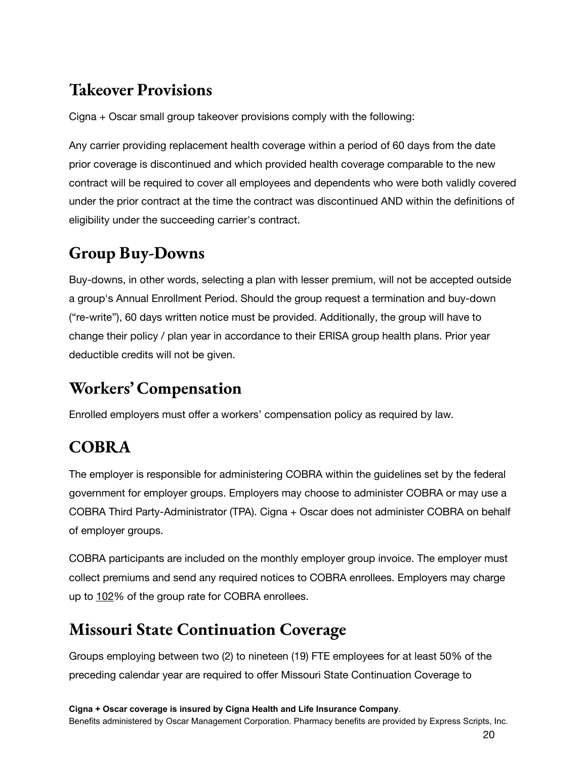### **Takeover Provisions**

Cigna + Oscar small group takeover provisions comply with the following:

Any carrier providing replacement health coverage within a period of 60 days from the date prior coverage is discontinued and which provided health coverage comparable to the new contract will be required to cover all employees and dependents who were both validly covered under the prior contract at the time the contract was discontinued AND within the definitions of eligibility under the succeeding carrier's contract.

# **Group Buy-Downs**

Buy-downs, in other words, selecting a plan with lesser premium, will not be accepted outside a group's Annual Enrollment Period. Should the group request a termination and buy-down ("re-write"), 60 days written notice must be provided. Additionally, the group will have to change their policy / plan year in accordance to their ERISA group health plans. Prior year deductible credits will not be given.

# **Workers' Compensation**

Enrolled employers must offer a workers' compensation policy as required by law.

# **COBRA**

The employer is responsible for administering COBRA within the guidelines set by the federal government for employer groups. Employers may choose to administer COBRA or may use a COBRA Third Party-Administrator (TPA). Cigna + Oscar does not administer COBRA on behalf of employer groups.

COBRA participants are included on the monthly employer group invoice. The employer must collect premiums and send any required notices to COBRA enrollees. Employers may charge up to 102% of the group rate for COBRA enrollees.

## **Missouri State Continuation Coverage**

Groups employing between two (2) to nineteen (19) FTE employees for at least 50% of the preceding calendar year are required to offer Missouri State Continuation Coverage to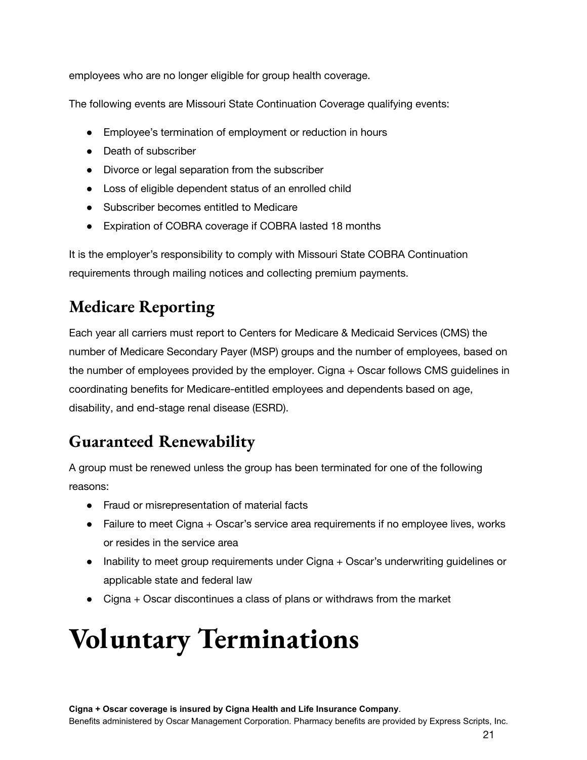employees who are no longer eligible for group health coverage.

The following events are Missouri State Continuation Coverage qualifying events:

- Employee's termination of employment or reduction in hours
- Death of subscriber
- Divorce or legal separation from the subscriber
- Loss of eligible dependent status of an enrolled child
- Subscriber becomes entitled to Medicare
- Expiration of COBRA coverage if COBRA lasted 18 months

It is the employer's responsibility to comply with Missouri State COBRA Continuation requirements through mailing notices and collecting premium payments.

### **Medicare Reporting**

Each year all carriers must report to Centers for Medicare & Medicaid Services (CMS) the number of Medicare Secondary Payer (MSP) groups and the number of employees, based on the number of employees provided by the employer. Cigna + Oscar follows CMS guidelines in coordinating benefits for Medicare-entitled employees and dependents based on age, disability, and end-stage renal disease (ESRD).

## **Guaranteed Renewability**

A group must be renewed unless the group has been terminated for one of the following reasons:

- Fraud or misrepresentation of material facts
- Failure to meet Cigna + Oscar's service area requirements if no employee lives, works or resides in the service area
- Inability to meet group requirements under Cigna + Oscar's underwriting guidelines or applicable state and federal law
- Cigna + Oscar discontinues a class of plans or withdraws from the market

# **Voluntary Terminations**